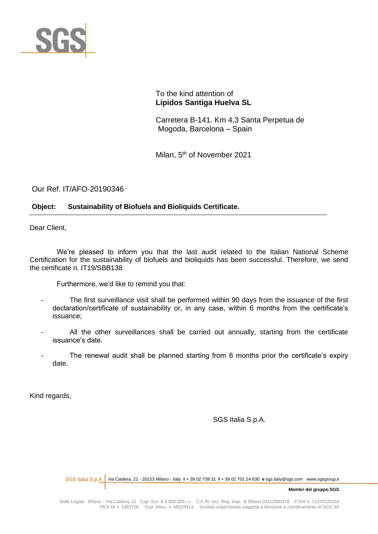

To the kind attention of **Lipidos Santiga Huelva SL**

Carretera B-141. Km 4,3 Santa Perpetua de Mogoda, Barcelona – Spain

Milan, 5<sup>th</sup> of November 2021

Our Ref. IT/AFO-20190346

# **Object: Sustainability of Biofuels and Bioliquids Certificate.**

Dear Client,

We're pleased to inform you that the last audit related to the Italian National Scheme Certification for the sustainability of biofuels and bioliquids has been successful. Therefore, we send the certificate n. IT19/SBB138

Furthermore, we'd like to remind you that:

- The first surveillance visit shall be performed within 90 days from the issuance of the first declaration/certificate of sustainability or, in any case, within 6 months from the certificate's issuance;
- All the other surveillances shall be carried out annually, starting from the certificate issuance's date.
- The renewal audit shall be planned starting from 6 months prior the certificate's expiry date.

Kind regards,

SGS Italia S.p.A.

Via Caldera, 21 - 20153 Milano - Italy **t** + 39 02 739 31 **f** + 39 02 701 24 630 **e** sgs.italy@sgs.com www.sgsgroup.it SGS Italia S.p.A.

**Membri del gruppo SGS**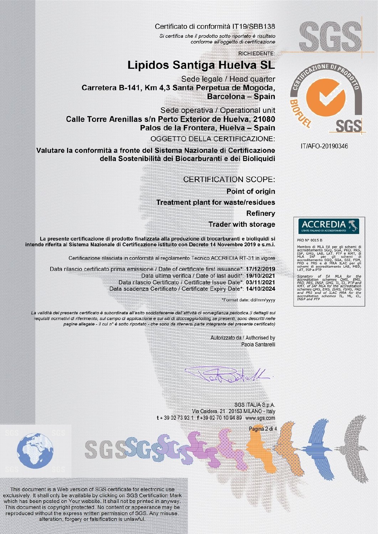

# Certificato di conformità IT19/SBB138

Si certifica che il prodotto sotto riportato è risultato conforme all'oggetto di certificazione

**RICHIEDENTE:** 

# Lipidos Santiga Huelva SL

Sede legale / Head quarter Carretera B-141, Km 4.3 Santa Perpetua de Mogoda. **Barcelona - Spain** 

Sede operativa / Operational unit Calle Torre Arenillas s/n Perto Exterior de Huelva, 21080 Palos de la Frontera, Huelva - Spain

OGGETTO DELLA CERTIFICAZIONE:

Valutare la conformità a fronte del Sistema Nazionale di Certificazione della Sostenibilità dei Biocarburanti e dei Bioliquidi

## **CERTIFICATION SCOPE:**

**Point of origin Treatment plant for waste/residues** 

> **Refinery Trader with storage**

La presente certificazione di prodotto finalizzata alla produzione di biocarburanti e bioliquidi si intende riferita al Sistema Nazionale di Certificazione istituito con Decreto 14 Novembre 2019 e s.m.i.

Certificazione rilasciata in conformità al regolamento Tecnico ACCREDIA RT-31 in vigore

Data rilascio certificato prima emissione / Date of certificate first issuance\*: 17/12/2019 Data ultima verifica / Date of last audit\*: 19/10/2021 Data rilascio Certificato / Certificate Issue Date\*: 03/11/2021 Data scadenza Certificato / Certificate Expiry Date\*: 14/10/2024

\*Format date: dd/mm/yyyy

La validità del presente certificato è subordinata all'esito soddisfacente dell'attività di sorveglianza periodica (i dettagli sui requisiti normativi di riferimento, sul campo di applicazione e sui siti di stoccaggio/tolling se presenti, sono descritti nelle pagine allegate - il cui n° è sotto riportato - che sono da ritenersi parte integrante del presente certificato)

> Autorizzato da / Authorised by Paola Santarelli

> > Pagina 2 di 4

 $\mathcal{U}$ 

SGS ITALIA S.p.A. Via Caldera, 21 20153 MILANO - Italy t + 39 02 73 93 1 f +39 02 70 10 94 89 www.sgs.com



This document is a Web version of SGS certificate for electronic use exclusively. It shall only be available by clicking on SGS Certification Mark which has been posted on Your website. It shall not be printed in anyway. This document is copyright protected. No content or appearance may be reproduced without the express written permission of SGS. Any misuse, alteration, forgery or falsification is unlawful.

GG



IT/AFO-20190346



4° 001.<br>
bro di MLA EA<br>
bro di MLA EA<br>
citamento SGO,<br>
GHG, LAB, LAT,<br>
Tamento SGO,<br>
stamento SGO,<br>
sedita Membro di MLA EA

*ditation scheme:<br>PRS, INSP, GHG,<br>of IAF MLA for ti<br>nes QMS, EMS, IS* mes QMS, EMS, ISMS, ISMS, FSQ<br>PRS and of ILAC MRA<br>ditation schemes TL,<br>and PTP PRC ML.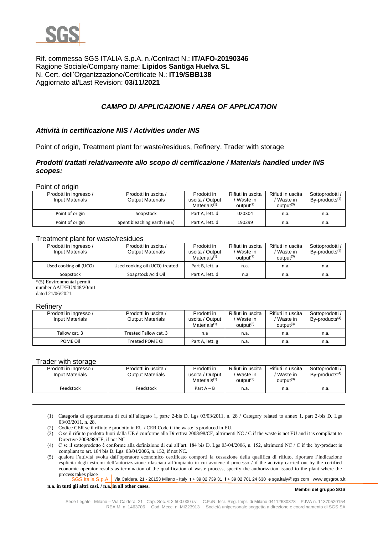

# Rif. commessa SGS ITALIA S.p.A. n./Contract N.: **IT/AFO-20190346** Ragione Sociale/Company name: **Lipidos Santiga Huelva SL** N. Cert. dell'Organizzazione/Certificate N.: **IT19/SBB138** Aggiornato al/Last Revision: **03/11/2021**

# *CAMPO DI APPLICAZIONE / AREA OF APPLICATION*

## *Attività in certificazione NIS / Activities under INS*

Point of origin, Treatment plant for waste/residues, Refinery, Trader with storage

## *Prodotti trattati relativamente allo scopo di certificazione / Materials handled under INS scopes:*

Point of origin

| Prodotti in ingresso /<br><b>Input Materials</b> | Prodotti in uscita /<br><b>Output Materials</b> | Prodotti in<br>uscita / Output<br>Materials $(1)$ | Rifiuti in uscita<br>Waste in<br>output <sup>(2)</sup> | Rifiuti in uscita<br>Waste in<br>$output^{(3)}$ | Sottoprodotti<br>$By$ -products <sup>(4)</sup> |
|--------------------------------------------------|-------------------------------------------------|---------------------------------------------------|--------------------------------------------------------|-------------------------------------------------|------------------------------------------------|
| Point of origin                                  | Soapstock                                       | Part A, lett. d                                   | 020304                                                 | n.a.                                            | n.a.                                           |
| Point of origin                                  | Spent bleaching earth (SBE)                     | Part A, lett. d                                   | 190299                                                 | n.a.                                            | n.a.                                           |

### Treatment plant for waste/residues

| Prodotti in ingresso /<br>Input Materials | Prodotti in uscita /<br><b>Output Materials</b> | Prodotti in<br>uscita / Output<br>Materials $(1)$ | Rifiuti in uscita<br>Waste in<br>output <sup>(2)</sup> | Rifiuti in uscita<br>/ Waste in<br>$output^{(3)}$ | Sottoprodotti /<br>$By$ -products <sup>(4)</sup> |
|-------------------------------------------|-------------------------------------------------|---------------------------------------------------|--------------------------------------------------------|---------------------------------------------------|--------------------------------------------------|
| Used cooking oil (UCO)                    | Used cooking oil (UCO) treated                  | Part B. lett. a                                   | n.a.                                                   | n.a.                                              | n.a.                                             |
| Soapstock                                 | Soapstock Acid Oil                              | Part A, lett. d                                   | n.a                                                    | n.a.                                              | n.a.                                             |

\*(5) Environmental permit number AAU/HU/048/20/m1 dated 21/06/2021.

#### **Refinery**

| Prodotti in ingresso /<br>Input Materials | Prodotti in uscita /<br><b>Output Materials</b> | Prodotti in<br>uscita / Output<br>Materials $(1)$ | Rifiuti in uscita<br>Waste in<br>output <sup>(2)</sup> | Rifiuti in uscita<br>Waste in<br>$output^{(3)}$ | Sottoprodotti /<br>$By$ -products <sup><math>(4)</math></sup> |
|-------------------------------------------|-------------------------------------------------|---------------------------------------------------|--------------------------------------------------------|-------------------------------------------------|---------------------------------------------------------------|
| Tallow cat. 3                             | Treated Tallow cat. 3                           | n.a                                               | n.a.                                                   | n.a.                                            | n.a.                                                          |
| POME Oil                                  | <b>Treated POME Oil</b>                         | Part A, lett. g                                   | n.a.                                                   | n.a.                                            | n.a.                                                          |

#### Trader with storage

| Prodotti in ingresso /<br>Input Materials | Prodotti in uscita /<br>Output Materials | Prodotti in<br>uscita / Output<br>Materials $(1)$ | Rifiuti in uscita<br>Waste in<br>output <sup>(2)</sup> | Rifiuti in uscita<br>'Waste in<br>$output^{(3)}$ | Sottoprodotti<br>$By$ -products <sup>(4)</sup> |
|-------------------------------------------|------------------------------------------|---------------------------------------------------|--------------------------------------------------------|--------------------------------------------------|------------------------------------------------|
| Feedstock                                 | Feedstock                                | Part $A - B$                                      | n.a.                                                   | n.a.                                             | n.a.                                           |

- (1) Categoria di appartenenza di cui all'allegato 1, parte 2-bis D. Lgs 03/03/2011, n. 28 / Category related to annex 1, part 2-bis D. Lgs 03/03/2011, n. 28.
- (2) Codice CER se il rifiuto è prodotto in EU / CER Code if the waste is produced in EU.
- (3) C se il rifiuto prodotto fuori dalla UE è conforme alla Direttiva 2008/98/CE, altrimenti NC / C if the waste is not EU and it is compliant to Directive 2008/98/CE, if not NC.
- (4) C se il sottoprodotto è conforme alla definizione di cui all'art. 184 bis D. Lgs 03/04/2006, n. 152, altrimenti NC / C if the by-product is compliant to art. 184 bis D. Lgs. 03/04/2006, n. 152, if not NC.
- (5) qualora l'attività svolta dall'operatore economico certificato comporti la cessazione della qualifica di rifiuto, riportare l'indicazione esplicita degli estremi dell'autorizzazione rilasciata all'impianto in cui avviene il processo / if the activity carried out by the certified economic operator results as termination of the qualification of waste process, specify the authorization issued to the plant where the process takes place

Via Caldera, 21 - 20153 Milano - Italy **t** + 39 02 739 31 **f** + 39 02 701 24 630 **e** sgs.italy@sgs.com www.sgsgroup.it SGS Italia S.p.A.

**n.a. in tutti gli altri casi. / n.a. in all other cases.**

#### **Membri del gruppo SGS**